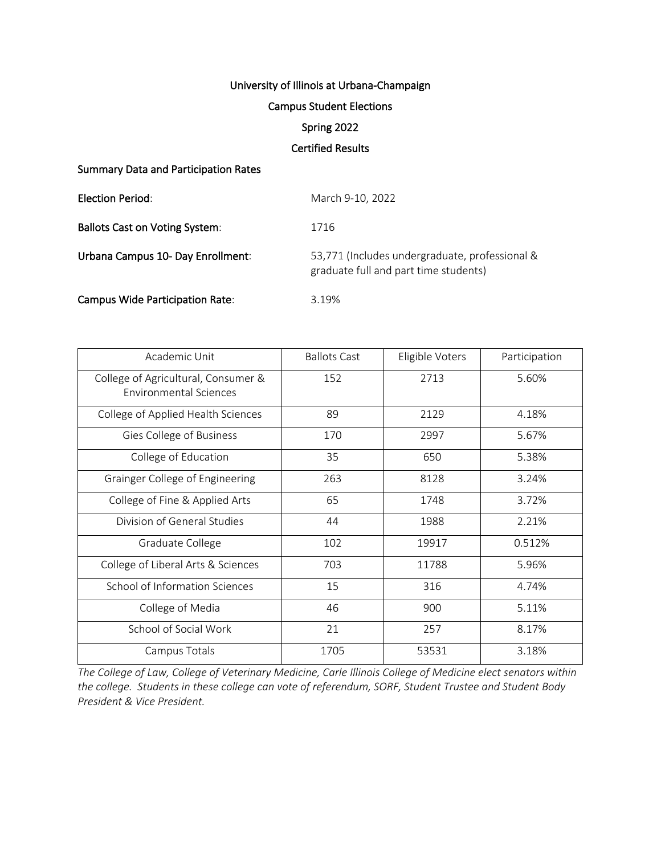# University of Illinois at Urbana-Champaign

#### Campus Student Elections

# Spring 2022

## Certified Results

#### Summary Data and Participation Rates

| Election Period:                       | March 9-10, 2022                                                                        |
|----------------------------------------|-----------------------------------------------------------------------------------------|
| <b>Ballots Cast on Voting System:</b>  | 1716                                                                                    |
| Urbana Campus 10- Day Enrollment:      | 53,771 (Includes undergraduate, professional &<br>graduate full and part time students) |
| <b>Campus Wide Participation Rate:</b> | 3.19%                                                                                   |

| Academic Unit                                                        | <b>Ballots Cast</b> | Eligible Voters | Participation |
|----------------------------------------------------------------------|---------------------|-----------------|---------------|
| College of Agricultural, Consumer &<br><b>Environmental Sciences</b> | 152                 | 2713            | 5.60%         |
| College of Applied Health Sciences                                   | 89                  | 2129            | 4.18%         |
| Gies College of Business                                             | 170                 | 2997            | 5.67%         |
| College of Education                                                 | 35                  | 650             | 5.38%         |
| Grainger College of Engineering                                      | 263                 | 8128            | 3.24%         |
| College of Fine & Applied Arts                                       | 65                  | 1748            | 3.72%         |
| Division of General Studies                                          | 44                  | 1988            | 2.21%         |
| Graduate College                                                     | 102                 | 19917           | 0.512%        |
| College of Liberal Arts & Sciences                                   | 703                 | 11788           | 5.96%         |
| School of Information Sciences                                       | 15                  | 316             | 4.74%         |
| College of Media                                                     | 46                  | 900             | 5.11%         |
| School of Social Work                                                | 21                  | 257             | 8.17%         |
| Campus Totals                                                        | 1705                | 53531           | 3.18%         |

*The College of Law, College of Veterinary Medicine, Carle Illinois College of Medicine elect senators within the college. Students in these college can vote of referendum, SORF, Student Trustee and Student Body President & Vice President.*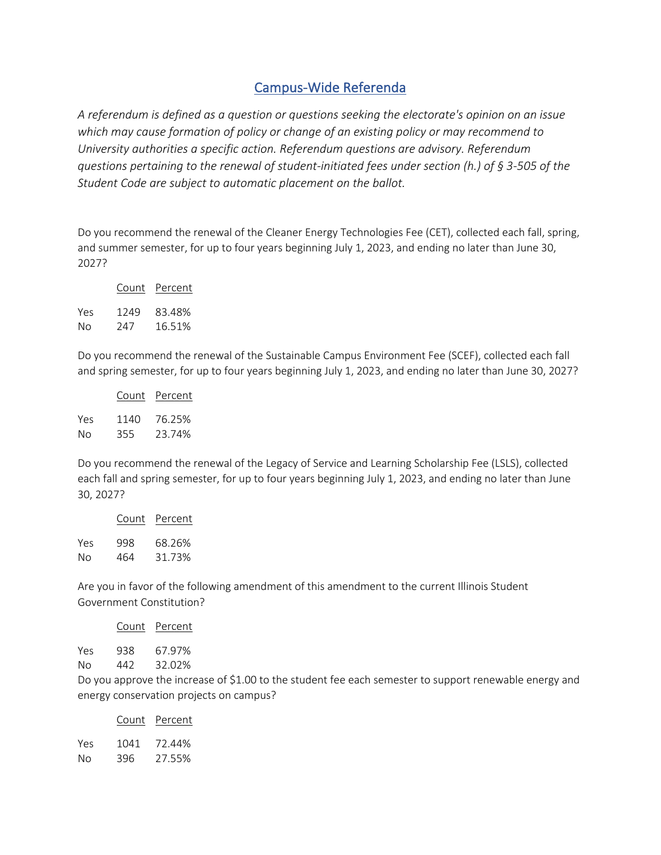# Campus-Wide Referenda

*A referendum is defined as a question or questions seeking the electorate's opinion on an issue which may cause formation of policy or change of an existing policy or may recommend to University authorities a specific action. Referendum questions are advisory. Referendum questions pertaining to the renewal of student-initiated fees under section (h.) of § 3-505 of the Student Code are subject to automatic placement on the ballot.* 

Do you recommend the renewal of the Cleaner Energy Technologies Fee (CET), collected each fall, spring, and summer semester, for up to four years beginning July 1, 2023, and ending no later than June 30, 2027?

|     | Count | Percent |
|-----|-------|---------|
| Yes | 1249  | 83.48%  |
| No  | 247   | 16.51%  |

Do you recommend the renewal of the Sustainable Campus Environment Fee (SCEF), collected each fall and spring semester, for up to four years beginning July 1, 2023, and ending no later than June 30, 2027?

| Count | Percent |
|-------|---------|
| 1140  | 76.25%  |
| 355   | 23.74%  |
|       |         |

Do you recommend the renewal of the Legacy of Service and Learning Scholarship Fee (LSLS), collected each fall and spring semester, for up to four years beginning July 1, 2023, and ending no later than June 30, 2027?

|     | Count | Percent |
|-----|-------|---------|
| Yes | 998   | 68.26%  |
| No  | 464   | 31.73%  |

Are you in favor of the following amendment of this amendment to the current Illinois Student Government Constitution?

| Count | Percent |  |
|-------|---------|--|
|       |         |  |

Yes 938 67.97% No 442 32.02%

Do you approve the increase of \$1.00 to the student fee each semester to support renewable energy and energy conservation projects on campus?

|     | Count | Percent |  |
|-----|-------|---------|--|
| Yes | 1041  | 72.44%  |  |
| No  | 396   | 27.55%  |  |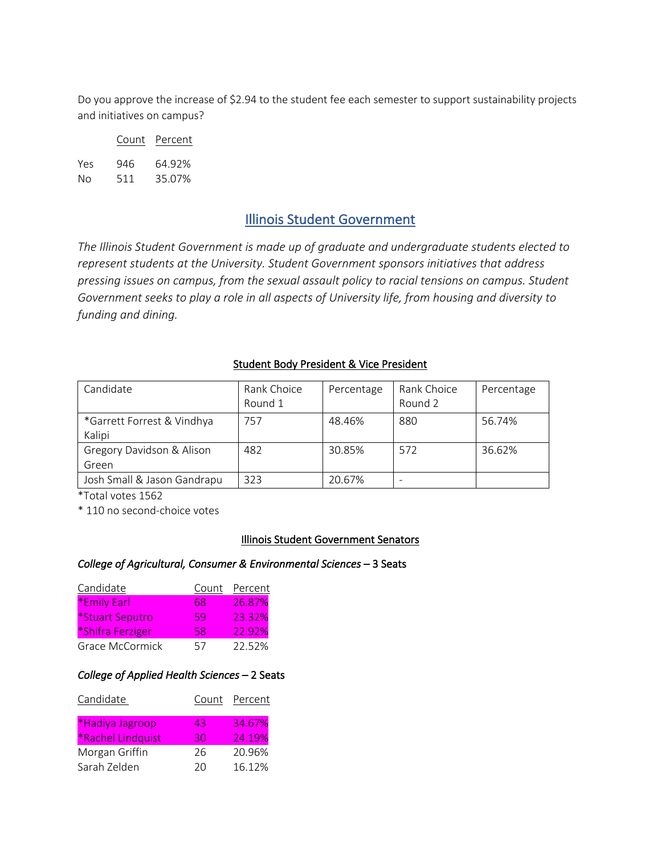Do you approve the increase of \$2.94 to the student fee each semester to support sustainability projects and initiatives on campus?

|     | Count | Percent |
|-----|-------|---------|
| Yes | 946   | 64.92%  |
| Nο  | 511   | 35.07%  |

# Illinois Student Government

*The Illinois Student Government is made up of graduate and undergraduate students elected to represent students at the University. Student Government sponsors initiatives that address pressing issues on campus, from the sexual assault policy to racial tensions on campus. Student Government seeks to play a role in all aspects of University life, from housing and diversity to funding and dining.*

## Student Body President & Vice President

| Candidate                            | Rank Choice<br>Round 1 | Percentage | Rank Choice<br>Round 2 | Percentage |
|--------------------------------------|------------------------|------------|------------------------|------------|
| *Garrett Forrest & Vindhya<br>Kalipi | 757                    | 48.46%     | 880                    | 56.74%     |
| Gregory Davidson & Alison<br>Green   | 482                    | 30.85%     | 572                    | 36.62%     |
| Josh Small & Jason Gandrapu          | 323                    | 20.67%     |                        |            |

\*Total votes 1562

\* 110 no second-choice votes

#### Illinois Student Government Senators

#### *College of Agricultural, Consumer & Environmental Sciences* – 3 Seats

| Candidate        | Count | Percent |
|------------------|-------|---------|
| *Emily Earl      | 68    | 26.87%  |
| *Stuart Seputro  | 59    | 23.32%  |
| *Shifra Ferziger | 58    | 22.92%  |
| Grace McCormick  | 57    | 22.52%  |

#### *College of Applied Health Sciences* – 2 Seats

| Candidate         |    | Count Percent |
|-------------------|----|---------------|
| *Hadiya Jagroop   | 43 | 34.67%        |
| *Rachel Lindquist | 30 | 24.19%        |
| Morgan Griffin    | 26 | 20.96%        |
| Sarah Zelden      | 20 | 16.12%        |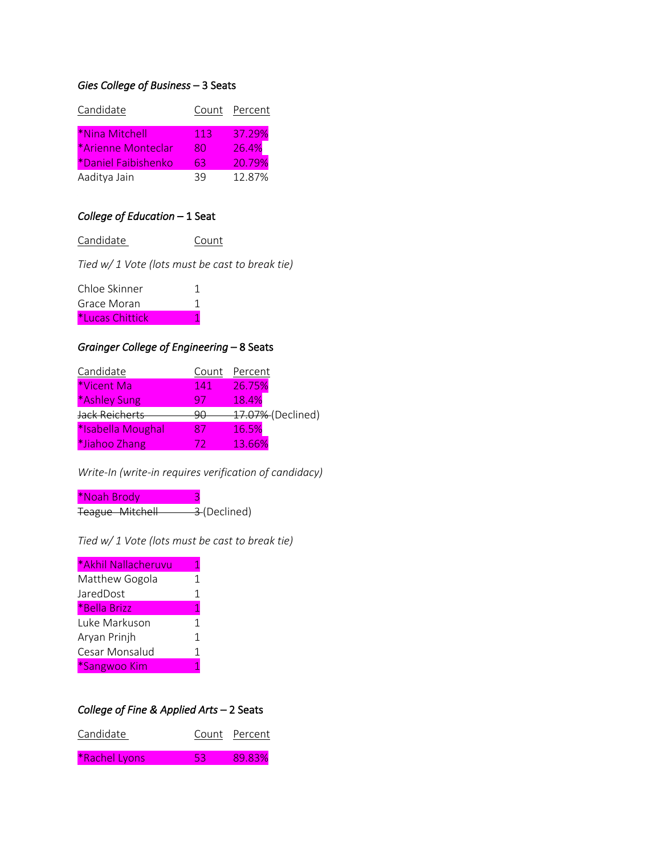# *Gies College of Business* – 3 Seats

| Candidate |                            |     | Count Percent |
|-----------|----------------------------|-----|---------------|
|           | *Nina Mitchell             | 113 | 37.29%        |
|           | *Arienne Monteclar         | 80  | 26.4%         |
|           | <i>*Daniel Faibishenko</i> | 63  | 20.79%        |
|           | Aaditya Jain               | 39  | 12.87%        |
|           |                            |     |               |

# *College of Education* – 1 Seat

Candidate Count

*Tied w/ 1 Vote (lots must be cast to break tie)*

| Chloe Skinner   |  |
|-----------------|--|
| Grace Moran     |  |
| *Lucas Chittick |  |

# *Grainger College of Engineering* – 8 Seats

| Candidate         | Count | Percent           |
|-------------------|-------|-------------------|
| *Vicent Ma        | 141   | 26.75%            |
| *Ashley Sung      | 97    | 18.4%             |
| Jack Reicherts    | וזנו  | 47.07% (Declined) |
| *Isabella Moughal | 87    | 16.5%             |
| *Jiahoo Zhang     |       | 13.66%            |

*Write-In (write-in requires verification of candidacy)* 

\*Noah Brody 3 Teague Mitchell 3-(Declined)

*Tied w/ 1 Vote (lots must be cast to break tie)*

| *Akhil Nallacheruvu | 1            |
|---------------------|--------------|
| Matthew Gogola      | 1            |
| JaredDost           | $\mathbf{1}$ |
| *Bella Brizz        | 1            |
| Luke Markuson       | 1            |
| Aryan Prinjh        | 1            |
| Cesar Monsalud      | 1            |
| *Sangwoo Kim        | 1            |

# *College of Fine & Applied Arts* – 2 Seats

| Candidate     |    | Count Percent |
|---------------|----|---------------|
| *Rachel Lyons | 53 | 89.83%        |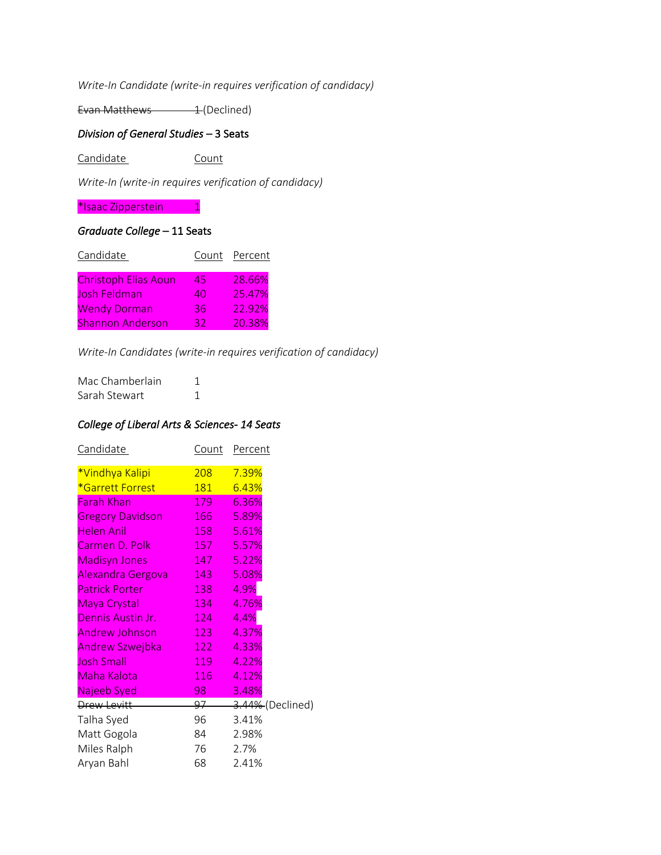*Write-In Candidate (write-in requires verification of candidacy)*

Evan Matthews 1 (Declined)

# *Division of General Studies* – 3 Seats

Candidate Count

*Write-In (write-in requires verification of candidacy)*

\*Isaac Zipperstein 1

## *Graduate College* – 11 Seats

| Candidate                   |    | Count Percent |
|-----------------------------|----|---------------|
| <b>Christoph Elias Aoun</b> | 45 | 28.66%        |
| Josh Feldman                | 40 | 25.47%        |
| <b>Wendy Dorman</b>         | 36 | 22.92%        |
| <b>Shannon Anderson</b>     | 32 | 20.38%        |

*Write-In Candidates (write-in requires verification of candidacy)*

| Mac Chamberlain |  |
|-----------------|--|
| Sarah Stewart   |  |

# *College of Liberal Arts & Sciences- 14 Seats*

| Count | Percent          |
|-------|------------------|
|       | 7.39%            |
| 181   | 6.43%            |
| 179   | 6.36%            |
| 166   | 5.89%            |
| 158   | 5.61%            |
| 157   | 5.57%            |
| 147   | 5.22%            |
| 143   | 5.08%            |
| 138   | 4.9%             |
| 134   | 4.76%            |
| 124   | 4.4%             |
| 123   | 4.37%            |
| 122   | 4.33%            |
| 119   | 4.22%            |
| 116   | 4.12%            |
| 98    | 3.48%            |
| 97    | 3.44% (Declined) |
| 96    | 3.41%            |
| 84    | 2.98%            |
| 76    | 2.7%             |
| 68    | 2.41%            |
|       | 208              |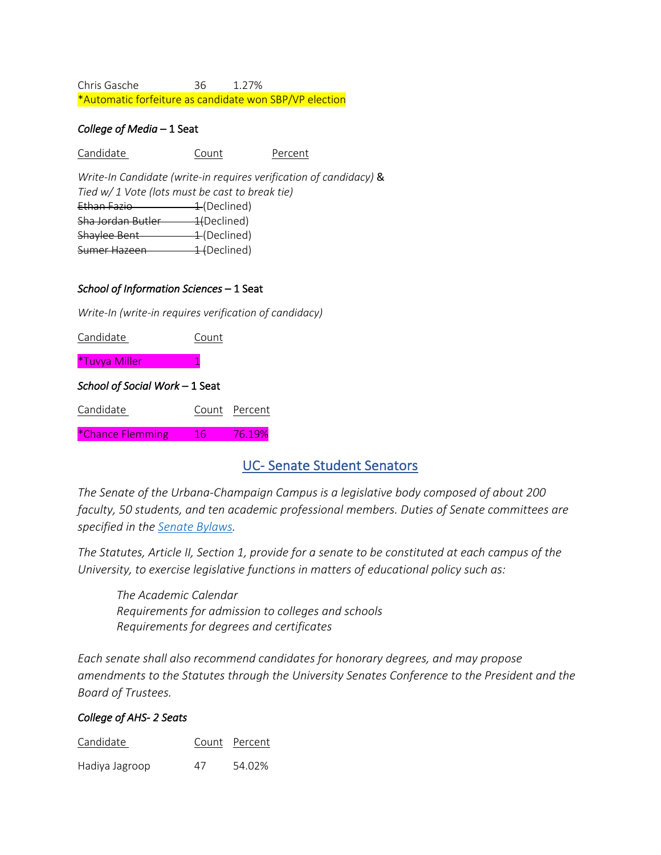Chris Gasche 36 1.27% \*Automatic forfeiture as candidate won SBP/VP election

### *College of Media* – 1 Seat

Candidate Count Percent

*Write-In Candidate (write-in requires verification of candidacy)* & *Tied w/ 1 Vote (lots must be cast to break tie)* Ethan Fazio 1 (Declined) Sha Jordan Butler 1(Declined) Shaylee Bent 1 (Declined) Sumer Hazeen 1 (Declined)

## *School of Information Sciences* – 1 Seat

*Write-In (write-in requires verification of candidacy)*

| Candidate                      | Count |               |
|--------------------------------|-------|---------------|
| <i><b>*Tuvya Miller</b></i>    | 1     |               |
| School of Social Work – 1 Seat |       |               |
| Candidate                      |       | Count Percent |
| *Chance Flemming               | 16    | 76.19%        |

# UC- Senate Student Senators

*The Senate of the Urbana-Champaign Campus is a legislative body composed of about 200 faculty, 50 students, and ten academic professional members. Duties of Senate committees are specified in the Senate Bylaws.*

*The Statutes, Article II, Section 1, provide for a senate to be constituted at each campus of the University, to exercise legislative functions in matters of educational policy such as:*

*The Academic Calendar Requirements for admission to colleges and schools Requirements for degrees and certificates*

*Each senate shall also recommend candidates for honorary degrees, and may propose amendments to the Statutes through the University Senates Conference to the President and the Board of Trustees.*

## *College of AHS- 2 Seats*

| Candidate      |    | Count Percent |
|----------------|----|---------------|
| Hadiya Jagroop | 47 | 54.02%        |